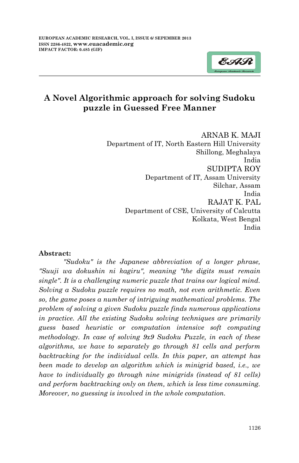

# **A Novel Algorithmic approach for solving Sudoku puzzle in Guessed Free Manner**

ARNAB K. MAJI Department of IT, North Eastern Hill University Shillong, Meghalaya India SUDIPTA ROY Department of IT, Assam University Silchar, Assam India RAJAT K. PAL Department of CSE, University of Calcutta Kolkata, West Bengal India

#### **Abstract:**

*"Sudoku" is the Japanese abbreviation of a longer phrase, "Suuji wa dokushin ni kagiru", meaning "the digits must remain single". It is a challenging numeric puzzle that trains our logical mind. Solving a Sudoku puzzle requires no math, not even arithmetic. Even so, the game poses a number of intriguing mathematical problems. The problem of solving a given Sudoku puzzle finds numerous applications in practice. All the existing Sudoku solving techniques are primarily guess based heuristic or computation intensive soft computing methodology. In case of solving 9x9 Sudoku Puzzle, in each of these algorithms, we have to separately go through 81 cells and perform backtracking for the individual cells. In this paper, an attempt has been made to develop an algorithm which is minigrid based, i.e., we have to individually go through nine minigrids (instead of 81 cells) and perform backtracking only on them, which is less time consuming. Moreover, no guessing is involved in the whole computation.*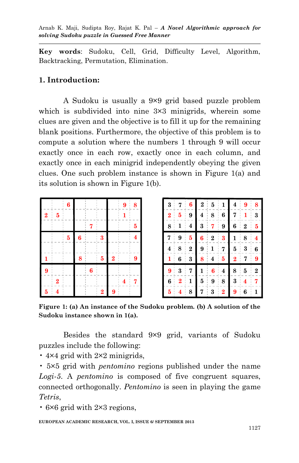**Key words**: Sudoku, Cell, Grid, Difficulty Level, Algorithm, Backtracking, Permutation, Elimination.

## **1. Introduction:**

A Sudoku is usually a 9×9 grid based puzzle problem which is subdivided into nine  $3\times3$  minigrids, wherein some clues are given and the objective is to fill it up for the remaining blank positions. Furthermore, the objective of this problem is to compute a solution where the numbers 1 through 9 will occur exactly once in each row, exactly once in each column, and exactly once in each minigrid independently obeying the given clues. One such problem instance is shown in Figure 1(a) and its solution is shown in Figure 1(b).

|                         |                         | $\bf{6}$                |          |   |                         |                         | $\boldsymbol{9}$ | 8                       |
|-------------------------|-------------------------|-------------------------|----------|---|-------------------------|-------------------------|------------------|-------------------------|
| $\overline{\mathbf{2}}$ | $\bf{5}$                |                         |          |   |                         |                         | 1                |                         |
|                         |                         |                         |          | 7 |                         |                         |                  | $\bf{5}$                |
|                         |                         | $\overline{\mathbf{5}}$ | $\bf{6}$ |   | 3                       |                         |                  | $\overline{\mathbf{4}}$ |
|                         |                         |                         |          |   |                         |                         |                  |                         |
| $\mathbf{1}$            |                         |                         | 8        |   | $\bf{5}$                | $\overline{\mathbf{2}}$ |                  | $\boldsymbol{9}$        |
| $\overline{9}$          |                         |                         |          | 6 |                         |                         |                  |                         |
|                         | $\bf 2$                 |                         |          |   |                         |                         | $\boldsymbol{4}$ | 7                       |
| $\overline{\mathbf{5}}$ | $\overline{\mathbf{4}}$ |                         |          |   | $\overline{\mathbf{2}}$ | 9                       |                  |                         |

| 3                       | 7                       | $\bf{6}$                | $\bf 2$             | 5                       | 1                       | $\overline{\mathbf{4}}$ | 9                       | 8                       |
|-------------------------|-------------------------|-------------------------|---------------------|-------------------------|-------------------------|-------------------------|-------------------------|-------------------------|
| $\overline{\mathbf{2}}$ | $\bar{5}$               | 9                       | $\boldsymbol{4}$    | 8                       | 6                       | 7                       | $\mathbf{1}$            | 3                       |
| 8                       | 1                       | $\overline{\mathbf{4}}$ | $\bf 3$             | $\overline{7}$          | 9                       | 6                       | $\overline{2}$          | 5                       |
| 7                       | 9                       | $\bf{5}$                | $\overline{\bf{6}}$ | $\bf 2$                 | 3                       | $\mathbf{1}$            | 8                       | $\overline{\mathbf{4}}$ |
| 4                       | 8                       | $\overline{\mathbf{2}}$ | $\boldsymbol{9}$    | $\mathbf{1}$            | $\bf 7$                 | $\bf{5}$                | 3                       | 6                       |
| 1                       | 6                       | $\bf 3$                 | 8                   | $\overline{\mathbf{4}}$ | $\overline{\mathbf{5}}$ | $\overline{\mathbf{2}}$ | 7                       | 9                       |
| 9                       | 3                       | 7                       | $\mathbf{1}$        | 6                       | 4                       | 8                       | 5                       | $\bf{2}$                |
| 6                       | $\overline{\mathbf{2}}$ | 1                       | 5                   | 9                       | 8                       | 3                       | $\overline{\mathbf{4}}$ | 7                       |
| 5                       | 4                       | 8                       | 7                   | 3                       | $\overline{2}$          | 9                       | 6                       | 1                       |

**Figure 1: (a) An instance of the Sudoku problem. (b) A solution of the Sudoku instance shown in 1(a).**

Besides the standard 9×9 grid, variants of Sudoku puzzles include the following:

• 4×4 grid with 2×2 minigrids,

• 5×5 grid with *pentomino* regions published under the name *Logi-5*. A *pentomino* is composed of five congruent squares, connected orthogonally. *Pentomino* is seen in playing the game *Tetris*,

• 6×6 grid with 2×3 regions,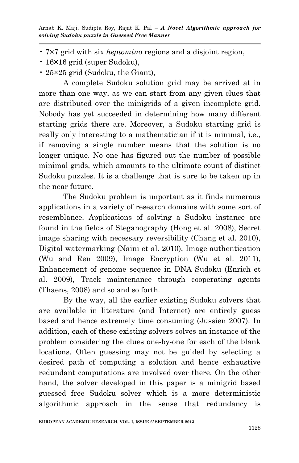- 7×7 grid with six *heptomino* regions and a disjoint region,
- 16×16 grid (super Sudoku),
- 25×25 grid (Sudoku, the Giant),

A complete Sudoku solution grid may be arrived at in more than one way, as we can start from any given clues that are distributed over the minigrids of a given incomplete grid. Nobody has yet succeeded in determining how many different starting grids there are. Moreover, a Sudoku starting grid is really only interesting to a mathematician if it is minimal, i.e., if removing a single number means that the solution is no longer unique. No one has figured out the number of possible minimal grids, which amounts to the ultimate count of distinct Sudoku puzzles. It is a challenge that is sure to be taken up in the near future.

The Sudoku problem is important as it finds numerous applications in a variety of research domains with some sort of resemblance. Applications of solving a Sudoku instance are found in the fields of Steganography (Hong et al. 2008), Secret image sharing with necessary reversibility (Chang et al. 2010), Digital watermarking (Naini et al. 2010), Image authentication (Wu and Ren 2009), Image Encryption (Wu et al. 2011), Enhancement of genome sequence in DNA Sudoku (Enrich et al. 2009), Track maintenance through cooperating agents (Thaens, 2008) and so and so forth.

By the way, all the earlier existing Sudoku solvers that are available in literature (and Internet) are entirely guess based and hence extremely time consuming (Jussien 2007). In addition, each of these existing solvers solves an instance of the problem considering the clues one-by-one for each of the blank locations. Often guessing may not be guided by selecting a desired path of computing a solution and hence exhaustive redundant computations are involved over there. On the other hand, the solver developed in this paper is a minigrid based guessed free Sudoku solver which is a more deterministic algorithmic approach in the sense that redundancy is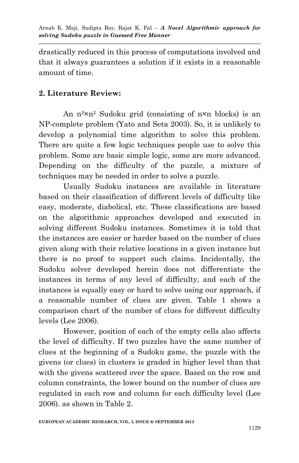drastically reduced in this process of computations involved and that it always guarantees a solution if it exists in a reasonable amount of time.

## **2. Literature Review:**

An  $n^2 \times n^2$  Sudoku grid (consisting of  $n \times n$  blocks) is an NP-complete problem (Yato and Seta 2003). So, it is unlikely to develop a polynomial time algorithm to solve this problem. There are quite a few logic techniques people use to solve this problem. Some are basic simple logic, some are more advanced. Depending on the difficulty of the puzzle, a mixture of techniques may be needed in order to solve a puzzle.

Usually Sudoku instances are available in literature based on their classification of different levels of difficulty like easy, moderate, diabolical, etc. These classifications are based on the algorithmic approaches developed and executed in solving different Sudoku instances. Sometimes it is told that the instances are easier or harder based on the number of clues given along with their relative locations in a given instance but there is no proof to support such claims. Incidentally, the Sudoku solver developed herein does not differentiate the instances in terms of any level of difficulty, and each of the instances is equally easy or hard to solve using our approach, if a reasonable number of clues are given. Table 1 shows a comparison chart of the number of clues for different difficulty levels (Lee 2006).

However, position of each of the empty cells also affects the level of difficulty. If two puzzles have the same number of clues at the beginning of a Sudoku game, the puzzle with the givens (or clues) in clusters is graded in higher level than that with the givens scattered over the space. Based on the row and column constraints, the lower bound on the number of clues are regulated in each row and column for each difficulty level (Lee 2006). as shown in Table 2.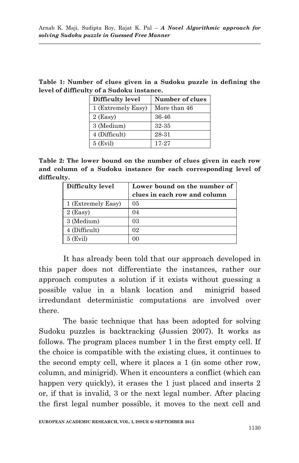**Table 1: Number of clues given in a Sudoku puzzle in defining the level of difficulty of a Sudoku instance.**

| Difficulty level   | Number of clues |
|--------------------|-----------------|
| 1 (Extremely Easy) | More than 46    |
| $2$ (Easy)         | 36-46           |
| 3 (Medium)         | 32-35           |
| 4 (Difficult)      | 28-31           |
| $5$ (Evil)         | 17-27           |

**Table 2: The lower bound on the number of clues given in each row and column of a Sudoku instance for each corresponding level of difficulty.**

| Difficulty level   | Lower bound on the number of |  |  |  |  |
|--------------------|------------------------------|--|--|--|--|
|                    | clues in each row and column |  |  |  |  |
| 1 (Extremely Easy) | 05                           |  |  |  |  |
| $2$ (Easy)         | 04                           |  |  |  |  |
| 3 (Medium)         | 03                           |  |  |  |  |
| 4 (Difficult)      | 02                           |  |  |  |  |
| $5$ (Evil)         | 00                           |  |  |  |  |

It has already been told that our approach developed in this paper does not differentiate the instances, rather our approach computes a solution if it exists without guessing a possible value in a blank location and minigrid based irredundant deterministic computations are involved over there.

The basic technique that has been adopted for solving Sudoku puzzles is backtracking (Jussien 2007). It works as follows. The program places number 1 in the first empty cell. If the choice is compatible with the existing clues, it continues to the second empty cell, where it places a 1 (in some other row, column, and minigrid). When it encounters a conflict (which can happen very quickly), it erases the 1 just placed and inserts 2 or, if that is invalid, 3 or the next legal number. After placing the first legal number possible, it moves to the next cell and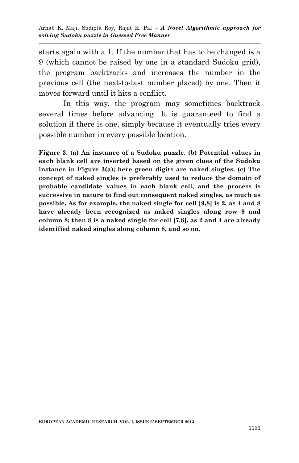starts again with a 1. If the number that has to be changed is a 9 (which cannot be raised by one in a standard Sudoku grid), the program backtracks and increases the number in the previous cell (the next-to-last number placed) by one. Then it moves forward until it hits a conflict.

In this way, the program may sometimes backtrack several times before advancing. It is guaranteed to find a solution if there is one, simply because it eventually tries every possible number in every possible location.

 **Figure 3. (a) An instance of a Sudoku puzzle. (b) Potential values in each blank cell are inserted based on the given clues of the Sudoku instance in Figure 3(a); here green digits are naked singles. (c) The concept of naked singles is preferably used to reduce the domain of probable candidate values in each blank cell, and the process is successive in nature to find out consequent naked singles, as much as possible. As for example, the naked single for cell [9,8] is 2, as 4 and 8 have already been recognized as naked singles along row 9 and column 8; then 8 is a naked single for cell [7,8], as 2 and 4 are already identified naked singles along column 8, and so on.**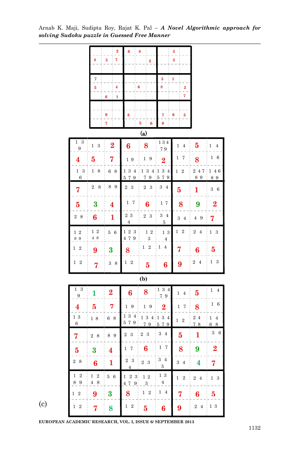



**EUROPEAN ACADEMIC RESEARCH, VOL. I, ISSUE 6/ SEPTEMBER 2013** 8 3 4

(c)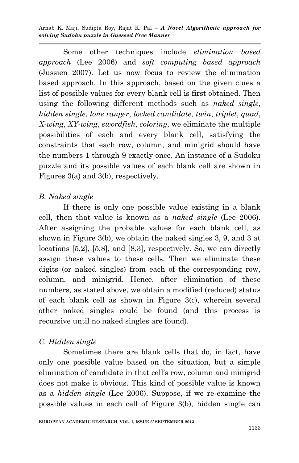Some other techniques include *elimination based approach* (Lee 2006) and *soft computing based approach*  (Jussien 2007). Let us now focus to review the elimination based approach. In this approach, based on the given clues a list of possible values for every blank cell is first obtained. Then using the following different methods such as *naked single*, *hidden single*, *lone ranger*, *locked candidate*, *twin*, *triplet*, *quad*, *X-wing*, *XY-wing*, *swordfish*, *coloring*, we eliminate the multiple possibilities of each and every blank cell, satisfying the constraints that each row, column, and minigrid should have the numbers 1 through 9 exactly once. An instance of a Sudoku puzzle and its possible values of each blank cell are shown in Figures 3(a) and 3(b), respectively.

## *B. Naked single*

If there is only one possible value existing in a blank cell, then that value is known as a *naked single* (Lee 2006). After assigning the probable values for each blank cell, as shown in Figure 3(b), we obtain the naked singles 3, 9, and 3 at locations [5,2], [5,8], and [8,3], respectively. So, we can directly assign these values to these cells. Then we eliminate these digits (or naked singles) from each of the corresponding row, column, and minigrid. Hence, after elimination of these numbers, as stated above, we obtain a modified (reduced) status of each blank cell as shown in Figure 3(c), wherein several other naked singles could be found (and this process is recursive until no naked singles are found).

## *C. Hidden single*

Sometimes there are blank cells that do, in fact, have only one possible value based on the situation, but a simple elimination of candidate in that cell"s row, column and minigrid does not make it obvious. This kind of possible value is known as a *hidden single* (Lee 2006). Suppose, if we re-examine the possible values in each cell of Figure 3(b), hidden single can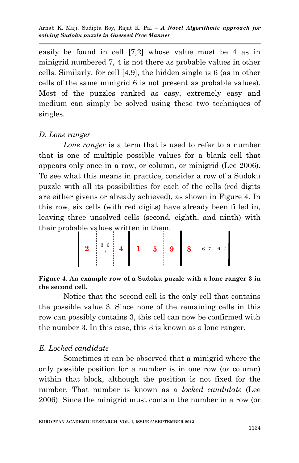easily be found in cell [7,2] whose value must be 4 as in minigrid numbered 7, 4 is not there as probable values in other cells. Similarly, for cell [4,9], the hidden single is 6 (as in other cells of the same minigrid 6 is not present as probable values). Most of the puzzles ranked as easy, extremely easy and medium can simply be solved using these two techniques of singles.

#### *D. Lone ranger*

*Lone ranger* is a term that is used to refer to a number that is one of multiple possible values for a blank cell that appears only once in a row, or column, or minigrid (Lee 2006). To see what this means in practice, consider a row of a Sudoku puzzle with all its possibilities for each of the cells (red digits are either givens or already achieved), as shown in Figure 4. In this row, six cells (with red digits) have already been filled in, leaving three unsolved cells (second, eighth, and ninth) with their probable values written in them.



#### **Figure 4. An example row of a Sudoku puzzle with a lone ranger 3 in the second cell.**

Notice that the second cell is the only cell that contains the possible value 3. Since none of the remaining cells in this row can possibly contains 3, this cell can now be confirmed with the number 3. In this case, this 3 is known as a lone ranger.

#### *E. Locked candidate*

Sometimes it can be observed that a minigrid where the only possible position for a number is in one row (or column) within that block, although the position is not fixed for the number. That number is known as a *locked candidate* (Lee 2006). Since the minigrid must contain the number in a row (or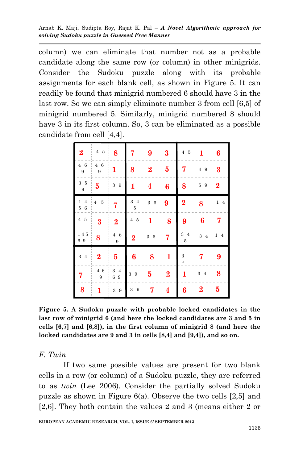column) we can eliminate that number not as a probable candidate along the same row (or column) in other minigrids. Consider the Sudoku puzzle along with its probable assignments for each blank cell, as shown in Figure 5. It can readily be found that minigrid numbered 6 should have 3 in the last row. So we can simply eliminate number 3 from cell [6,5] of minigrid numbered 5. Similarly, minigrid numbered 8 should have 3 in its first column. So, 3 can be eliminated as a possible candidate from cell [4,4].

| $\overline{\mathbf{2}}$                         | $4\quad 5$              | 8                              | 7                       | 9                       | $\bf{3}$                | $4\quad 5$          | 1          | 6                       |
|-------------------------------------------------|-------------------------|--------------------------------|-------------------------|-------------------------|-------------------------|---------------------|------------|-------------------------|
| 46<br>9                                         | 46<br>9                 | 1                              | 8                       | $\overline{\mathbf{2}}$ | $\bf{5}$                | 7                   | 4 9        | 3                       |
| 3 <sub>5</sub><br>$\boldsymbol{9}$              | 5                       | 39                             | 1                       | 4                       | $\boldsymbol{6}$        | 8                   | 59         | $\overline{\mathbf{2}}$ |
| $\,1$<br>$\,4\,$<br>$5\hskip 4pt$ $6\hskip 4pt$ | $4\quad 5$              | 7                              | $3\quad 4$<br>$\bf 5$   | $3\quad 6$              | 9                       | $\bf{2}$            | 8          | 14                      |
| $4\quad 5$                                      | 3                       | $\overline{\mathbf{2}}$        | 45                      | 1                       | 8                       | 9                   | 6          | 7                       |
| 145<br>69                                       | 8                       | $4\quad 6$<br>$\boldsymbol{9}$ | $\overline{\mathbf{2}}$ | 36                      | 7                       | 34<br>$\bf 5$       | $3\quad 4$ | 14                      |
| 3 4                                             | $\overline{\mathbf{2}}$ | $\bf{5}$                       | $\boldsymbol{6}$        | 8                       | 1                       | 3<br>$\overline{A}$ | 7          | 9                       |
| 7                                               | 46<br>$\,9$             | 34<br>69                       | 39                      | 5                       | $\overline{\mathbf{2}}$ | 1                   | 3 4        | 8                       |
| 8                                               | 1                       | 39                             | 3<br>9                  | 7                       | 4                       | 6                   | $\bf{2}$   | 5                       |

**Figure 5. A Sudoku puzzle with probable locked candidates in the last row of minigrid 6 (and here the locked candidates are 3 and 5 in cells [6,7] and [6,8]), in the first column of minigrid 8 (and here the locked candidates are 9 and 3 in cells [8,4] and [9,4]), and so on.**

*F. Twin*

If two same possible values are present for two blank cells in a row (or column) of a Sudoku puzzle, they are referred to as *twin* (Lee 2006). Consider the partially solved Sudoku puzzle as shown in Figure 6(a). Observe the two cells [2,5] and [2,6]. They both contain the values 2 and 3 (means either 2 or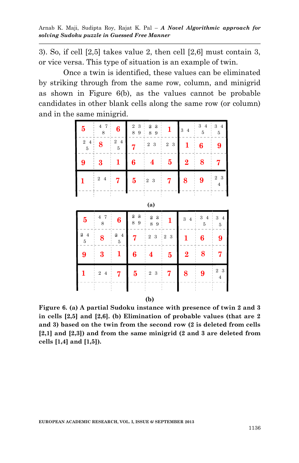3). So, if cell [2,5] takes value 2, then cell [2,6] must contain 3, or vice versa. This type of situation is an example of twin.

Once a twin is identified, these values can be eliminated by striking through from the same row, column, and minigrid as shown in Figure 6(b), as the values cannot be probable candidates in other blank cells along the same row (or column) and in the same minigrid.



**Figure 6. (a) A partial Sudoku instance with presence of twin 2 and 3 in cells [2,5] and [2,6]. (b) Elimination of probable values (that are 2 and 3) based on the twin from the second row (2 is deleted from cells [2,1] and [2,3]) and from the same minigrid (2 and 3 are deleted from cells [1,4] and [1,5]).**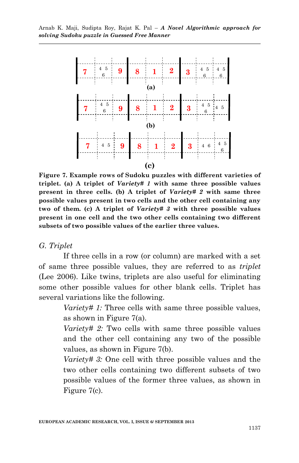

**Figure 7. Example rows of Sudoku puzzles with different varieties of triplet. (a) A triplet of** *Variety# 1* **with same three possible values present in three cells. (b) A triplet of** *Variety# 2* **with same three possible values present in two cells and the other cell containing any two of them. (c) A triplet of** *Variety# 3* **with three possible values present in one cell and the two other cells containing two different subsets of two possible values of the earlier three values.**

#### *G. Triplet*

If three cells in a row (or column) are marked with a set of same three possible values, they are referred to as *triplet* (Lee 2006). Like twins, triplets are also useful for eliminating some other possible values for other blank cells. Triplet has several variations like the following.

> *Variety# 1:* Three cells with same three possible values, as shown in Figure 7(a).

> *Variety# 2:* Two cells with same three possible values and the other cell containing any two of the possible values, as shown in Figure 7(b).

> *Variety# 3:* One cell with three possible values and the two other cells containing two different subsets of two possible values of the former three values, as shown in Figure 7(c).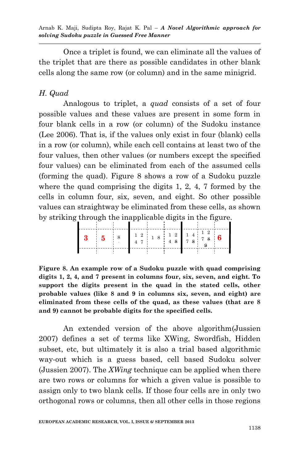Once a triplet is found, we can eliminate all the values of the triplet that are there as possible candidates in other blank cells along the same row (or column) and in the same minigrid.

### *H. Quad*

Analogous to triplet, a *quad* consists of a set of four possible values and these values are present in some form in four blank cells in a row (or column) of the Sudoku instance (Lee 2006). That is, if the values only exist in four (blank) cells in a row (or column), while each cell contains at least two of the four values, then other values (or numbers except the specified four values) can be eliminated from each of the assumed cells (forming the quad). Figure 8 shows a row of a Sudoku puzzle where the quad comprising the digits 1, 2, 4, 7 formed by the cells in column four, six, seven, and eight. So other possible values can straightway be eliminated from these cells, as shown by striking through the inapplicable digits in the figure.

|  |  | $\begin{array}{ c c c c c c c c c c } \hline 1 & 2 & 1 & 8 & 1 & 2 & 1 & 4 & 1 & 2 \\ \hline 4 & 7 & 1 & 8 & 4 & 8 & 7 & 8 & 7 & 8 \\ \hline \end{array}$ |  |  |
|--|--|-----------------------------------------------------------------------------------------------------------------------------------------------------------|--|--|
|  |  |                                                                                                                                                           |  |  |

**Figure 8. An example row of a Sudoku puzzle with quad comprising digits 1, 2, 4, and 7 present in columns four, six, seven, and eight. To support the digits present in the quad in the stated cells, other probable values (like 8 and 9 in columns six, seven, and eight) are eliminated from these cells of the quad, as these values (that are 8 and 9) cannot be probable digits for the specified cells.**

An extended version of the above algorithm(Jussien 2007) defines a set of terms like XWing, Swordfish, Hidden subset, etc, but ultimately it is also a trial based algorithmic way-out which is a guess based, cell based Sudoku solver (Jussien 2007). The *XWing* technique can be applied when there are two rows or columns for which a given value is possible to assign only to two blank cells. If those four cells are in only two orthogonal rows or columns, then all other cells in those regions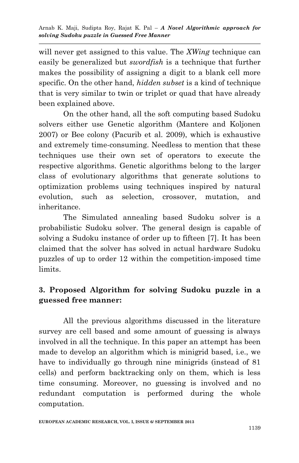will never get assigned to this value. The *XWing* technique can easily be generalized but *swordfish* is a technique that further makes the possibility of assigning a digit to a blank cell more specific. On the other hand, *hidden subset* is a kind of technique that is very similar to twin or triplet or quad that have already been explained above.

On the other hand, all the soft computing based Sudoku solvers either use Genetic algorithm (Mantere and Koljonen 2007) or Bee colony (Pacurib et al. 2009), which is exhaustive and extremely time-consuming. Needless to mention that these techniques use their own set of operators to execute the respective algorithms. Genetic algorithms belong to the larger class of evolutionary algorithms that generate solutions to optimization problems using techniques inspired by natural evolution, such as selection, crossover, mutation, and inheritance.

The Simulated annealing based Sudoku solver is a probabilistic Sudoku solver. The general design is capable of solving a Sudoku instance of order up to fifteen [7]. It has been claimed that the solver has solved in actual hardware Sudoku puzzles of up to order 12 within the competition-imposed time limits.

# **3. Proposed Algorithm for solving Sudoku puzzle in a guessed free manner:**

All the previous algorithms discussed in the literature survey are cell based and some amount of guessing is always involved in all the technique. In this paper an attempt has been made to develop an algorithm which is minigrid based, i.e., we have to individually go through nine minigrids (instead of 81 cells) and perform backtracking only on them, which is less time consuming. Moreover, no guessing is involved and no redundant computation is performed during the whole computation.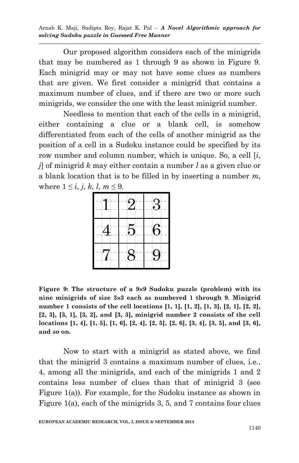Our proposed algorithm considers each of the minigrids that may be numbered as 1 through 9 as shown in Figure 9. Each minigrid may or may not have some clues as numbers that are given. We first consider a minigrid that contains a maximum number of clues, and if there are two or more such minigrids, we consider the one with the least minigrid number.

Needless to mention that each of the cells in a minigrid, either containing a clue or a blank cell, is somehow differentiated from each of the cells of another minigrid as the position of a cell in a Sudoku instance could be specified by its row number and column number, which is unique. So, a cell [*i*, *j*] of minigrid *k* may either contain a number *l* as a given clue or a blank location that is to be filled in by inserting a number *m*, where  $1 \leq i, j, k, l, m \leq 9$ .

|   |                       | 3 |
|---|-----------------------|---|
| 4 | 5                     | 6 |
|   | $\blacktriangleright$ | 9 |

**Figure 9: The structure of a 99 Sudoku puzzle (problem) with its nine minigrids of size 33 each as numbered 1 through 9. Minigrid number 1 consists of the cell locations [1, 1], [1, 2], [1, 3], [2, 1], [2, 2], [2, 3], [3, 1], [3, 2], and [3, 3], minigrid number 2 consists of the cell locations [1, 4], [1, 5], [1, 6], [2, 4], [2, 5], [2, 6], [3, 4], [3, 5], and [3, 6], and so on.**

Now to start with a minigrid as stated above, we find that the minigrid 3 contains a maximum number of clues, i.e., 4, among all the minigrids, and each of the minigrids 1 and 2 contains less number of clues than that of minigrid 3 (see Figure 1(a)). For example, for the Sudoku instance as shown in Figure 1(a), each of the minigrids 3, 5, and 7 contains four clues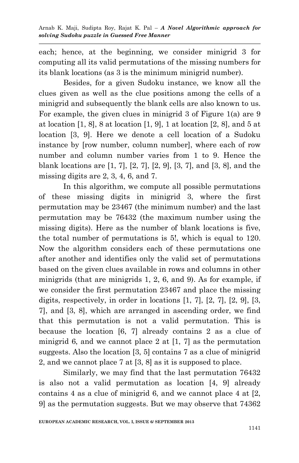each; hence, at the beginning, we consider minigrid 3 for computing all its valid permutations of the missing numbers for its blank locations (as 3 is the minimum minigrid number).

Besides, for a given Sudoku instance, we know all the clues given as well as the clue positions among the cells of a minigrid and subsequently the blank cells are also known to us. For example, the given clues in minigrid 3 of Figure 1(a) are 9 at location [1, 8], 8 at location [1, 9], 1 at location [2, 8], and 5 at location [3, 9]. Here we denote a cell location of a Sudoku instance by [row number, column number], where each of row number and column number varies from 1 to 9. Hence the blank locations are [1, 7], [2, 7], [2, 9], [3, 7], and [3, 8], and the missing digits are 2, 3, 4, 6, and 7.

In this algorithm, we compute all possible permutations of these missing digits in minigrid 3, where the first permutation may be 23467 (the minimum number) and the last permutation may be 76432 (the maximum number using the missing digits). Here as the number of blank locations is five, the total number of permutations is 5!, which is equal to 120. Now the algorithm considers each of these permutations one after another and identifies only the valid set of permutations based on the given clues available in rows and columns in other minigrids (that are minigrids 1, 2, 6, and 9). As for example, if we consider the first permutation 23467 and place the missing digits, respectively, in order in locations [1, 7], [2, 7], [2, 9], [3, 7], and [3, 8], which are arranged in ascending order, we find that this permutation is not a valid permutation. This is because the location [6, 7] already contains 2 as a clue of minigrid 6, and we cannot place 2 at [1, 7] as the permutation suggests. Also the location [3, 5] contains 7 as a clue of minigrid 2, and we cannot place 7 at [3, 8] as it is supposed to place.

Similarly, we may find that the last permutation 76432 is also not a valid permutation as location [4, 9] already contains 4 as a clue of minigrid 6, and we cannot place 4 at [2, 9] as the permutation suggests. But we may observe that 74362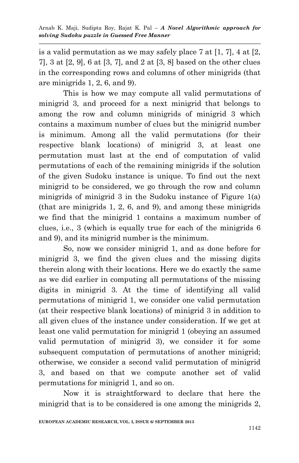is a valid permutation as we may safely place 7 at [1, 7], 4 at [2, 7], 3 at [2, 9], 6 at [3, 7], and 2 at [3, 8] based on the other clues in the corresponding rows and columns of other minigrids (that are minigrids 1, 2, 6, and 9).

This is how we may compute all valid permutations of minigrid 3, and proceed for a next minigrid that belongs to among the row and column minigrids of minigrid 3 which contains a maximum number of clues but the minigrid number is minimum. Among all the valid permutations (for their respective blank locations) of minigrid 3, at least one permutation must last at the end of computation of valid permutations of each of the remaining minigrids if the solution of the given Sudoku instance is unique. To find out the next minigrid to be considered, we go through the row and column minigrids of minigrid 3 in the Sudoku instance of Figure 1(a) (that are minigrids 1, 2, 6, and 9), and among these minigrids we find that the minigrid 1 contains a maximum number of clues, i.e., 3 (which is equally true for each of the minigrids 6 and 9), and its minigrid number is the minimum.

So, now we consider minigrid 1, and as done before for minigrid 3, we find the given clues and the missing digits therein along with their locations. Here we do exactly the same as we did earlier in computing all permutations of the missing digits in minigrid 3. At the time of identifying all valid permutations of minigrid 1, we consider one valid permutation (at their respective blank locations) of minigrid 3 in addition to all given clues of the instance under consideration. If we get at least one valid permutation for minigrid 1 (obeying an assumed valid permutation of minigrid 3), we consider it for some subsequent computation of permutations of another minigrid; otherwise, we consider a second valid permutation of minigrid 3, and based on that we compute another set of valid permutations for minigrid 1, and so on.

Now it is straightforward to declare that here the minigrid that is to be considered is one among the minigrids 2,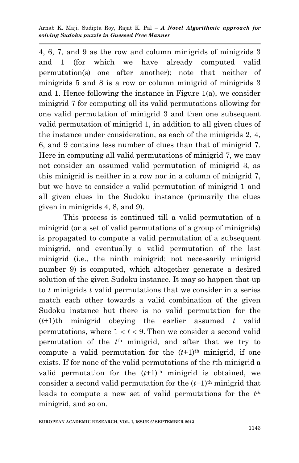4, 6, 7, and 9 as the row and column minigrids of minigrids 3 and 1 (for which we have already computed valid permutation(s) one after another); note that neither of minigrids 5 and 8 is a row or column minigrid of minigrids 3 and 1. Hence following the instance in Figure 1(a), we consider minigrid 7 for computing all its valid permutations allowing for one valid permutation of minigrid 3 and then one subsequent valid permutation of minigrid 1, in addition to all given clues of the instance under consideration, as each of the minigrids 2, 4, 6, and 9 contains less number of clues than that of minigrid 7. Here in computing all valid permutations of minigrid 7, we may not consider an assumed valid permutation of minigrid 3, as this minigrid is neither in a row nor in a column of minigrid 7, but we have to consider a valid permutation of minigrid 1 and all given clues in the Sudoku instance (primarily the clues given in minigrids 4, 8, and 9).

This process is continued till a valid permutation of a minigrid (or a set of valid permutations of a group of minigrids) is propagated to compute a valid permutation of a subsequent minigrid, and eventually a valid permutation of the last minigrid (i.e., the ninth minigrid; not necessarily minigrid number 9) is computed, which altogether generate a desired solution of the given Sudoku instance. It may so happen that up to *t* minigrids *t* valid permutations that we consider in a series match each other towards a valid combination of the given Sudoku instance but there is no valid permutation for the (*t*+1)th minigrid obeying the earlier assumed *t* valid permutations, where  $1 < t < 9$ . Then we consider a second valid permutation of the  $t<sup>th</sup>$  minigrid, and after that we try to compute a valid permutation for the  $(t+1)$ <sup>th</sup> minigrid, if one exists. If for none of the valid permutations of the *t*th minigrid a valid permutation for the  $(t+1)$ <sup>th</sup> minigrid is obtained, we consider a second valid permutation for the (*t−*1)th minigrid that leads to compute a new set of valid permutations for the *t th* minigrid, and so on.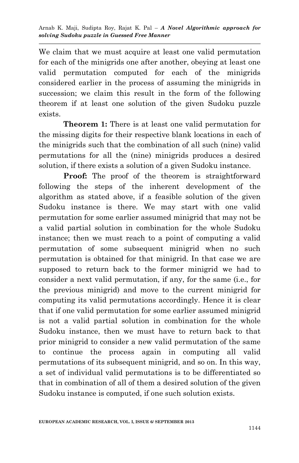We claim that we must acquire at least one valid permutation for each of the minigrids one after another, obeying at least one valid permutation computed for each of the minigrids considered earlier in the process of assuming the minigrids in succession; we claim this result in the form of the following theorem if at least one solution of the given Sudoku puzzle exists.

**Theorem 1:** There is at least one valid permutation for the missing digits for their respective blank locations in each of the minigrids such that the combination of all such (nine) valid permutations for all the (nine) minigrids produces a desired solution, if there exists a solution of a given Sudoku instance.

**Proof:** The proof of the theorem is straightforward following the steps of the inherent development of the algorithm as stated above, if a feasible solution of the given Sudoku instance is there. We may start with one valid permutation for some earlier assumed minigrid that may not be a valid partial solution in combination for the whole Sudoku instance; then we must reach to a point of computing a valid permutation of some subsequent minigrid when no such permutation is obtained for that minigrid. In that case we are supposed to return back to the former minigrid we had to consider a next valid permutation, if any, for the same (i.e., for the previous minigrid) and move to the current minigrid for computing its valid permutations accordingly. Hence it is clear that if one valid permutation for some earlier assumed minigrid is not a valid partial solution in combination for the whole Sudoku instance, then we must have to return back to that prior minigrid to consider a new valid permutation of the same to continue the process again in computing all valid permutations of its subsequent minigrid, and so on. In this way, a set of individual valid permutations is to be differentiated so that in combination of all of them a desired solution of the given Sudoku instance is computed, if one such solution exists.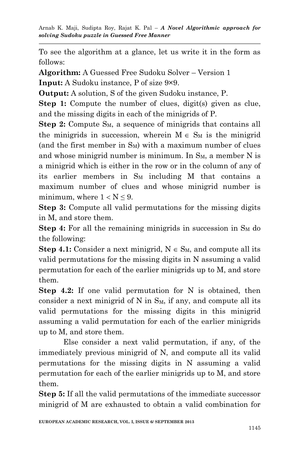To see the algorithm at a glance, let us write it in the form as follows:

**Algorithm:** A Guessed Free Sudoku Solver – Version 1 **Input:** A Sudoku instance, P of size 9×9.

**Output:** A solution, S of the given Sudoku instance, P.

**Step 1:** Compute the number of clues, digit(s) given as clue, and the missing digits in each of the minigrids of P.

**Step 2:** Compute S<sub>M</sub>, a sequence of minigrids that contains all the minigrids in succession, wherein  $M \in S_M$  is the minigrid (and the first member in  $S_M$ ) with a maximum number of clues and whose minigrid number is minimum. In  $S_M$ , a member N is a minigrid which is either in the row or in the column of any of its earlier members in S<sub>M</sub> including M that contains a maximum number of clues and whose minigrid number is minimum, where  $1 < N < 9$ .

**Step 3:** Compute all valid permutations for the missing digits in M, and store them.

**Step 4:** For all the remaining minigrids in succession in  $S_M$  do the following:

**Step 4.1:** Consider a next minigrid,  $N \in S_M$ , and compute all its valid permutations for the missing digits in N assuming a valid permutation for each of the earlier minigrids up to M, and store them.

**Step 4.2:** If one valid permutation for N is obtained, then consider a next minigrid of N in  $S_M$ , if any, and compute all its valid permutations for the missing digits in this minigrid assuming a valid permutation for each of the earlier minigrids up to M, and store them.

Else consider a next valid permutation, if any, of the immediately previous minigrid of N, and compute all its valid permutations for the missing digits in N assuming a valid permutation for each of the earlier minigrids up to M, and store them.

**Step 5:** If all the valid permutations of the immediate successor minigrid of M are exhausted to obtain a valid combination for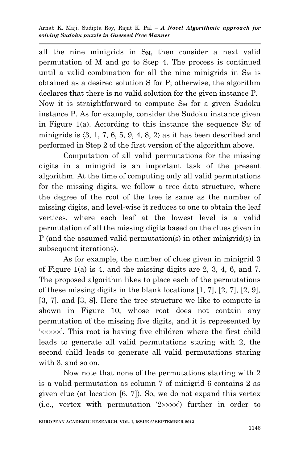all the nine minigrids in  $S_M$ , then consider a next valid permutation of M and go to Step 4. The process is continued until a valid combination for all the nine minigrids in  $S_M$  is obtained as a desired solution S for P; otherwise, the algorithm declares that there is no valid solution for the given instance P. Now it is straightforward to compute  $S_M$  for a given Sudoku instance P. As for example, consider the Sudoku instance given in Figure 1(a). According to this instance the sequence  $S_M$  of minigrids is  $(3, 1, 7, 6, 5, 9, 4, 8, 2)$  as it has been described and performed in Step 2 of the first version of the algorithm above.

Computation of all valid permutations for the missing digits in a minigrid is an important task of the present algorithm. At the time of computing only all valid permutations for the missing digits, we follow a tree data structure, where the degree of the root of the tree is same as the number of missing digits, and level-wise it reduces to one to obtain the leaf vertices, where each leaf at the lowest level is a valid permutation of all the missing digits based on the clues given in P (and the assumed valid permutation(s) in other minigrid(s) in subsequent iterations).

As for example, the number of clues given in minigrid 3 of Figure 1(a) is 4, and the missing digits are 2, 3, 4, 6, and 7. The proposed algorithm likes to place each of the permutations of these missing digits in the blank locations [1, 7], [2, 7], [2, 9], [3, 7], and [3, 8]. Here the tree structure we like to compute is shown in Figure 10, whose root does not contain any permutation of the missing five digits, and it is represented by "xxxxx". This root is having five children where the first child leads to generate all valid permutations staring with 2, the second child leads to generate all valid permutations staring with 3, and so on.

Now note that none of the permutations starting with 2 is a valid permutation as column 7 of minigrid 6 contains 2 as given clue (at location [6, 7]). So, we do not expand this vertex (i.e., vertex with permutation  $2 \times x \times y$ ) further in order to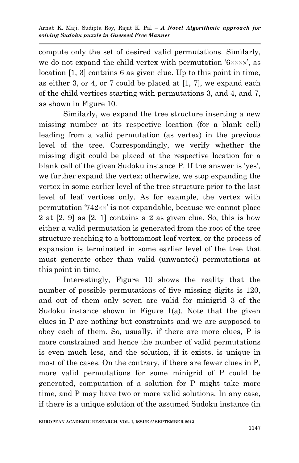compute only the set of desired valid permutations. Similarly, we do not expand the child vertex with permutation  $6 \times x \times x$ , as location [1, 3] contains 6 as given clue. Up to this point in time, as either 3, or 4, or 7 could be placed at [1, 7], we expand each of the child vertices starting with permutations 3, and 4, and 7, as shown in Figure 10.

Similarly, we expand the tree structure inserting a new missing number at its respective location (for a blank cell) leading from a valid permutation (as vertex) in the previous level of the tree. Correspondingly, we verify whether the missing digit could be placed at the respective location for a blank cell of the given Sudoku instance P. If the answer is 'yes', we further expand the vertex; otherwise, we stop expanding the vertex in some earlier level of the tree structure prior to the last level of leaf vertices only. As for example, the vertex with permutation  $742 \times \times 7$  is not expandable, because we cannot place 2 at [2, 9] as [2, 1] contains a 2 as given clue. So, this is how either a valid permutation is generated from the root of the tree structure reaching to a bottommost leaf vertex, or the process of expansion is terminated in some earlier level of the tree that must generate other than valid (unwanted) permutations at this point in time.

Interestingly, Figure 10 shows the reality that the number of possible permutations of five missing digits is 120, and out of them only seven are valid for minigrid 3 of the Sudoku instance shown in Figure 1(a). Note that the given clues in P are nothing but constraints and we are supposed to obey each of them. So, usually, if there are more clues, P is more constrained and hence the number of valid permutations is even much less, and the solution, if it exists, is unique in most of the cases. On the contrary, if there are fewer clues in P, more valid permutations for some minigrid of P could be generated, computation of a solution for P might take more time, and P may have two or more valid solutions. In any case, if there is a unique solution of the assumed Sudoku instance (in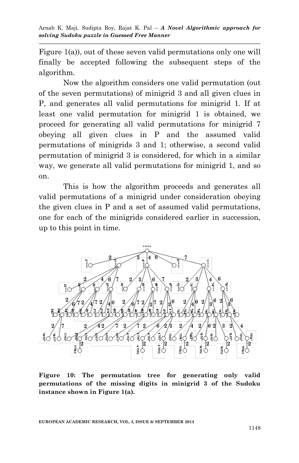Figure  $1(a)$ , out of these seven valid permutations only one will finally be accepted following the subsequent steps of the algorithm.

Now the algorithm considers one valid permutation (out of the seven permutations) of minigrid 3 and all given clues in P, and generates all valid permutations for minigrid 1. If at least one valid permutation for minigrid 1 is obtained, we proceed for generating all valid permutations for minigrid 7 obeying all given clues in P and the assumed valid permutations of minigrids 3 and 1; otherwise, a second valid permutation of minigrid 3 is considered, for which in a similar way, we generate all valid permutations for minigrid 1, and so on.

This is how the algorithm proceeds and generates all valid permutations of a minigrid under consideration obeying the given clues in P and a set of assumed valid permutations, one for each of the minigrids considered earlier in succession, up to this point in time.



**Figure 10: The permutation tree for generating only valid permutations of the missing digits in minigrid 3 of the Sudoku instance shown in Figure 1(a).**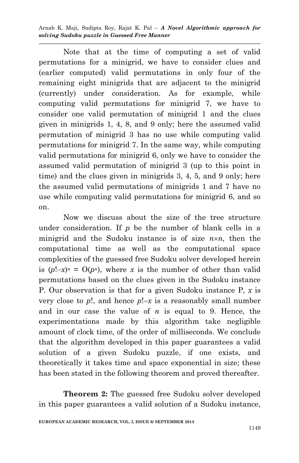Note that at the time of computing a set of valid permutations for a minigrid, we have to consider clues and (earlier computed) valid permutations in only four of the remaining eight minigrids that are adjacent to the minigrid (currently) under consideration. As for example, while computing valid permutations for minigrid 7, we have to consider one valid permutation of minigrid 1 and the clues given in minigrids 1, 4, 8, and 9 only; here the assumed valid permutation of minigrid 3 has no use while computing valid permutations for minigrid 7. In the same way, while computing valid permutations for minigrid 6, only we have to consider the assumed valid permutation of minigrid 3 (up to this point in time) and the clues given in minigrids 3, 4, 5, and 9 only; here the assumed valid permutations of minigrids 1 and 7 have no use while computing valid permutations for minigrid 6, and so on.

Now we discuss about the size of the tree structure under consideration. If *p* be the number of blank cells in a minigrid and the Sudoku instance is of size  $n \times n$ , then the computational time as well as the computational space complexities of the guessed free Sudoku solver developed herein is  $(p!-x)^n = O(p^n)$ , where *x* is the number of other than valid permutations based on the clues given in the Sudoku instance P. Our observation is that for a given Sudoku instance P, *x* is very close to  $p!$ , and hence  $p!-\mathbf{x}$  is a reasonably small number and in our case the value of *n* is equal to 9. Hence, the experimentations made by this algorithm take negligible amount of clock time, of the order of milliseconds. We conclude that the algorithm developed in this paper guarantees a valid solution of a given Sudoku puzzle, if one exists, and theoretically it takes time and space exponential in size; these has been stated in the following theorem and proved thereafter.

**Theorem 2:** The guessed free Sudoku solver developed in this paper guarantees a valid solution of a Sudoku instance,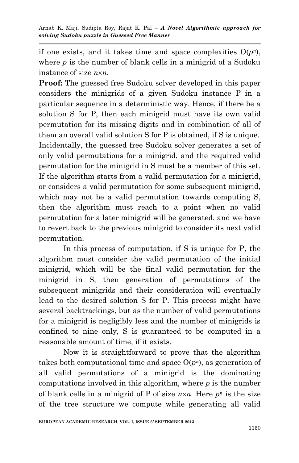if one exists, and it takes time and space complexities  $O(p^n)$ , where *p* is the number of blank cells in a minigrid of a Sudoku instance of size  $n \times n$ .

**Proof:** The guessed free Sudoku solver developed in this paper considers the minigrids of a given Sudoku instance P in a particular sequence in a deterministic way. Hence, if there be a solution S for P, then each minigrid must have its own valid permutation for its missing digits and in combination of all of them an overall valid solution S for P is obtained, if S is unique. Incidentally, the guessed free Sudoku solver generates a set of only valid permutations for a minigrid, and the required valid permutation for the minigrid in S must be a member of this set. If the algorithm starts from a valid permutation for a minigrid, or considers a valid permutation for some subsequent minigrid, which may not be a valid permutation towards computing S, then the algorithm must reach to a point when no valid permutation for a later minigrid will be generated, and we have to revert back to the previous minigrid to consider its next valid permutation.

In this process of computation, if S is unique for P, the algorithm must consider the valid permutation of the initial minigrid, which will be the final valid permutation for the minigrid in S, then generation of permutations of the subsequent minigrids and their consideration will eventually lead to the desired solution S for P. This process might have several backtrackings, but as the number of valid permutations for a minigrid is negligibly less and the number of minigrids is confined to nine only, S is guaranteed to be computed in a reasonable amount of time, if it exists.

Now it is straightforward to prove that the algorithm takes both computational time and space  $O(p^n)$ , as generation of all valid permutations of a minigrid is the dominating computations involved in this algorithm, where *p* is the number of blank cells in a minigrid of P of size  $n \times n$ . Here  $p^n$  is the size of the tree structure we compute while generating all valid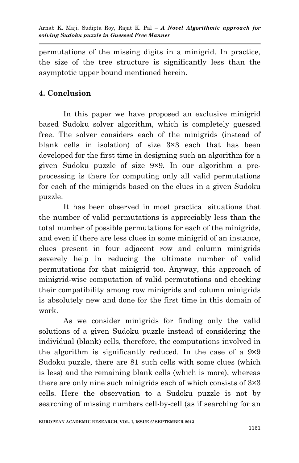permutations of the missing digits in a minigrid. In practice, the size of the tree structure is significantly less than the asymptotic upper bound mentioned herein.

# **4. Conclusion**

In this paper we have proposed an exclusive minigrid based Sudoku solver algorithm, which is completely guessed free. The solver considers each of the minigrids (instead of blank cells in isolation) of size 3×3 each that has been developed for the first time in designing such an algorithm for a given Sudoku puzzle of size 9×9. In our algorithm a preprocessing is there for computing only all valid permutations for each of the minigrids based on the clues in a given Sudoku puzzle.

It has been observed in most practical situations that the number of valid permutations is appreciably less than the total number of possible permutations for each of the minigrids, and even if there are less clues in some minigrid of an instance, clues present in four adjacent row and column minigrids severely help in reducing the ultimate number of valid permutations for that minigrid too. Anyway, this approach of minigrid-wise computation of valid permutations and checking their compatibility among row minigrids and column minigrids is absolutely new and done for the first time in this domain of work.

As we consider minigrids for finding only the valid solutions of a given Sudoku puzzle instead of considering the individual (blank) cells, therefore, the computations involved in the algorithm is significantly reduced. In the case of a 9×9 Sudoku puzzle, there are 81 such cells with some clues (which is less) and the remaining blank cells (which is more), whereas there are only nine such minigrids each of which consists of 3×3 cells. Here the observation to a Sudoku puzzle is not by searching of missing numbers cell-by-cell (as if searching for an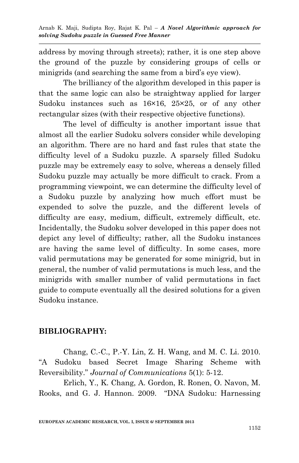address by moving through streets); rather, it is one step above the ground of the puzzle by considering groups of cells or minigrids (and searching the same from a bird"s eye view).

The brilliancy of the algorithm developed in this paper is that the same logic can also be straightway applied for larger Sudoku instances such as 16×16, 25×25, or of any other rectangular sizes (with their respective objective functions).

The level of difficulty is another important issue that almost all the earlier Sudoku solvers consider while developing an algorithm. There are no hard and fast rules that state the difficulty level of a Sudoku puzzle. A sparsely filled Sudoku puzzle may be extremely easy to solve, whereas a densely filled Sudoku puzzle may actually be more difficult to crack. From a programming viewpoint, we can determine the difficulty level of a Sudoku puzzle by analyzing how much effort must be expended to solve the puzzle, and the different levels of difficulty are easy, medium, difficult, extremely difficult, etc. Incidentally, the Sudoku solver developed in this paper does not depict any level of difficulty; rather, all the Sudoku instances are having the same level of difficulty. In some cases, more valid permutations may be generated for some minigrid, but in general, the number of valid permutations is much less, and the minigrids with smaller number of valid permutations in fact guide to compute eventually all the desired solutions for a given Sudoku instance.

## **BIBLIOGRAPHY:**

Chang, C.-C., P.-Y. Lin, Z. H. Wang, and M. C. Li. 2010. "A Sudoku based Secret Image Sharing Scheme with Reversibility." *Journal of Communications* 5(1): 5-12.

Erlich, Y., K. Chang, A. Gordon, R. Ronen, O. Navon, M. Rooks, and G. J. Hannon. 2009. "DNA Sudoku: Harnessing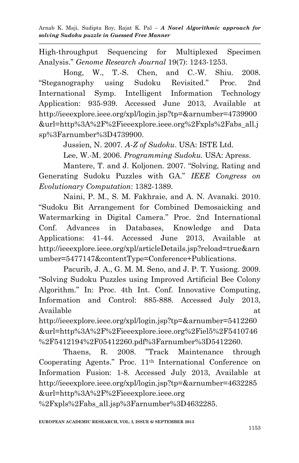High-throughput Sequencing for Multiplexed Specimen Analysis." *Genome Research Journal* 19(7): 1243-1253.

Hong, W., T.-S. Chen, and C.-W. Shiu. 2008. "Steganography using Sudoku Revisited." Proc. 2nd International Symp. Intelligent Information Technology Application: 935-939. Accessed June 2013, Available at http://ieeexplore.ieee.org/xpl/login.jsp?tp=&arnumber=4739900 &url=http%3A%2F%2Fieeexplore.ieee.org%2Fxpls%2Fabs\_all.j sp%3Farnumber%3D4739900.

Jussien, N. 2007. *A-Z of Sudoku*. USA: ISTE Ltd.

Lee, W.-M. 2006. *Programming Sudoku.* USA: Apress.

Mantere, T. and J. Koljonen. 2007. "Solving, Rating and Generating Sudoku Puzzles with GA." *IEEE Congress on Evolutionary Computation*: 1382-1389.

Naini, P. M., S. M. Fakhraie, and A. N. Avanaki. 2010. "Sudoku Bit Arrangement for Combined Demosaicking and Watermarking in Digital Camera." Proc. 2nd International Conf. Advances in Databases, Knowledge and Data Applications: 41-44. Accessed June 2013, Available at http://ieeexplore.ieee.org/xpl/articleDetails.jsp?reload=true&arn umber=5477147&contentType=Conference+Publications.

Pacurib, J. A., G. M. M. Seno, and J. P. T. Yusiong. 2009. "Solving Sudoku Puzzles using Improved Artificial Bee Colony Algorithm." In: Proc. 4th Int. Conf. Innovative Computing, Information and Control: 885-888. Accessed July 2013, Available at a structure of the structure of  $\mathbf{a}$ 

http://ieeexplore.ieee.org/xpl/login.jsp?tp=&arnumber=5412260 &url=http%3A%2F%2Fieeexplore.ieee.org%2Fiel5%2F5410746 %2F5412194%2F05412260.pdf%3Farnumber%3D5412260.

Thaens, R. 2008. "Track Maintenance through Cooperating Agents." Proc. 11th International Conference on Information Fusion: 1-8. Accessed July 2013, Available at http://ieeexplore.ieee.org/xpl/login.jsp?tp=&arnumber=4632285 &url=http%3A%2F%2Fieeexplore.ieee.org

%2Fxpls%2Fabs\_all.jsp%3Farnumber%3D4632285.